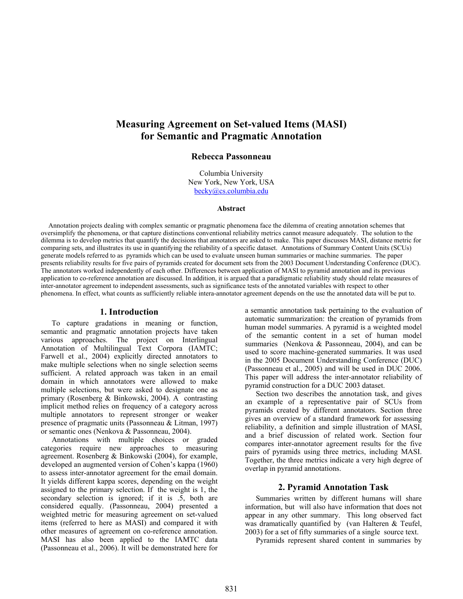# **Measuring Agreement on Set-valued Items (MASI) for Semantic and Pragmatic Annotation**

# **Rebecca Passonneau**

Columbia University New York, New York, USA becky@cs.columbia.edu

#### **Abstract**

Annotation projects dealing with complex semantic or pragmatic phenomena face the dilemma of creating annotation schemes that oversimplify the phenomena, or that capture distinctions conventional reliability metrics cannot measure adequately. The solution to the dilemma is to develop metrics that quantify the decisions that annotators are asked to make. This paper discusses MASI, distance metric for comparing sets, and illustrates its use in quantifying the reliability of a specific dataset. Annotations of Summary Content Units (SCUs) generate models referred to as pyramids which can be used to evaluate unseen human summaries or machine summaries. The paper presents reliability results for five pairs of pyramids created for document sets from the 2003 Document Understanding Conference (DUC). The annotators worked independently of each other. Differences between application of MASI to pyramid annotation and its previous application to co-reference annotation are discussed. In addition, it is argued that a paradigmatic reliability study should relate measures of inter-annotator agreement to independent assessments, such as significance tests of the annotated variables with respect to other phenomena. In effect, what counts as sufficiently reliable intera-annotator agreement depends on the use the annotated data will be put to.

### **1. Introduction**

To capture gradations in meaning or function, semantic and pragmatic annotation projects have taken various approaches. The project on Interlingual Annotation of Multilingual Text Corpora (IAMTC; Farwell et al., 2004) explicitly directed annotators to make multiple selections when no single selection seems sufficient. A related approach was taken in an email domain in which annotators were allowed to make multiple selections, but were asked to designate one as primary (Rosenberg & Binkowski, 2004). A contrasting implicit method relies on frequency of a category across multiple annotators to represent stronger or weaker presence of pragmatic units (Passonneau & Litman, 1997) or semantic ones (Nenkova & Passonneau, 2004).

Annotations with multiple choices or graded categories require new approaches to measuring agreement. Rosenberg & Binkowski (2004), for example, developed an augmented version of Cohen's kappa (1960) to assess inter-annotator agreement for the email domain. It yields different kappa scores, depending on the weight assigned to the primary selection. If the weight is 1, the secondary selection is ignored; if it is .5, both are considered equally. (Passonneau, 2004) presented a weighted metric for measuring agreement on set-valued items (referred to here as MASI) and compared it with other measures of agreement on co-reference annotation. MASI has also been applied to the IAMTC data (Passonneau et al., 2006). It will be demonstrated here for a semantic annotation task pertaining to the evaluation of automatic summarization: the creation of pyramids from human model summaries. A pyramid is a weighted model of the semantic content in a set of human model summaries (Nenkova & Passonneau, 2004), and can be used to score machine-generated summaries. It was used in the 2005 Document Understanding Conference (DUC) (Passonneau et al., 2005) and will be used in DUC 2006. This paper will address the inter-annotator reliability of pyramid construction for a DUC 2003 dataset.

Section two describes the annotation task, and gives an example of a representative pair of SCUs from pyramids created by different annotators. Section three gives an overview of a standard framework for assessing reliability, a definition and simple illustration of MASI, and a brief discussion of related work. Section four compares inter-annotator agreement results for the five pairs of pyramids using three metrics, including MASI. Together, the three metrics indicate a very high degree of overlap in pyramid annotations.

# **2. Pyramid Annotation Task**

Summaries written by different humans will share information, but will also have information that does not appear in any other summary. This long observed fact was dramatically quantified by (van Halteren & Teufel, 2003) for a set of fifty summaries of a single source text.

Pyramids represent shared content in summaries by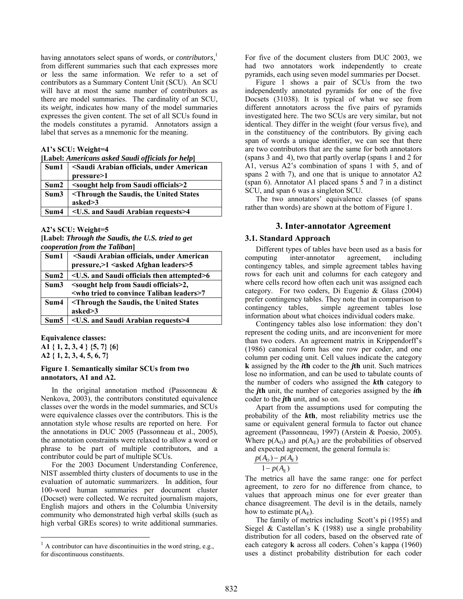having annotators select spans of words, or *contributors*,<sup>[1](#page-1-1)</sup> from different summaries such that each expresses more or less the same information. We refer to a set of contributors as a Summary Content Unit (SCU). An SCU will have at most the same number of contributors as there are model summaries. The cardinality of an SCU, its *weight*, indicates how many of the model summaries expresses the given content. The set of all SCUs found in the models constitutes a pyramid. Annotators assign a label that serves as a mnemonic for the meaning.

#### **A1's SCU: Weight=4**

| [Label: Americans asked Saudi officials for help]                    |                                                                  |  |  |
|----------------------------------------------------------------------|------------------------------------------------------------------|--|--|
| <saudi american<br="" arabian="" officials,="" under="">Sum1</saudi> |                                                                  |  |  |
|                                                                      | pressure>1                                                       |  |  |
| Sum2                                                                 | <sought from="" help="" officials="" saudi="">2</sought>         |  |  |
| Sum3                                                                 | <through saudis,="" states<="" td="" the="" united=""></through> |  |  |
|                                                                      | asked $\geq$ 3                                                   |  |  |
|                                                                      | Sum4 <a> </a> Sand Saudi Arabian requests>4                      |  |  |

#### **A2's SCU: Weight=5**

**[Label:** *Through the Saudis, the U.S. tried to get cooperation from the Taliban***]** 

| Sum1 | <saudi american<="" arabian="" officials,="" th="" under=""></saudi> |
|------|----------------------------------------------------------------------|
|      | pressure, > 1 < asked Afghan leaders > 5                             |
| Sum2 | <u.s. and="" attempted="" officials="" saudi="" then="">6</u.s.>     |
| Sum3 | <sought from="" help="" officials="" saudi="">2,</sought>            |
|      | <who convince="" leaders="" taliban="" to="" tried="">7</who>        |
| Sum4 | <b>Through the Saudis, the United States</b>                         |
|      | asked>3                                                              |
| Sum5 | <u.s. and="" arabian="" requests="" saudi="">4</u.s.>                |

**Equivalence classes: A1 { 1, 2, 3, 4 } {5, 7} {6} A2 { 1, 2, 3, 4, 5, 6, 7}** 

 $\overline{a}$ 

# <span id="page-1-0"></span>**Figure 1**. **Semantically similar SCUs from two annotators, A1 and A2.**

In the original annotation method (Passonneau & Nenkova, 2003), the contributors constituted equivalence classes over the words in the model summaries, and SCUs were equivalence classes over the contributors. This is the annotation style whose results are reported on here. For the annotations in DUC 2005 (Passonneau et al., 2005), the annotation constraints were relaxed to allow a word or phrase to be part of multiple contributors, and a contributor could be part of multiple SCUs.

For the 2003 Document Understanding Conference, NIST assembled thirty clusters of documents to use in the evaluation of automatic summarizers. In addition, four 100-word human summaries per document cluster (Docset) were collected. We recruited journalism majors, English majors and others in the Columbia University community who demonstrated high verbal skills (such as high verbal GREs scores) to write additional summaries.

For five of the document clusters from DUC 2003, we had two annotators work independently to create pyramids, each using seven model summaries per Docset.

[Figure 1](#page-1-0) shows a pair of SCUs from the two independently annotated pyramids for one of the five Docsets (31038). It is typical of what we see from different annotators across the five pairs of pyramids investigated here. The two SCUs are very similar, but not identical. They differ in the weight (four versus five), and in the constituency of the contributors. By giving each span of words a unique identifier, we can see that there are two contributors that are the same for both annotators (spans 3 and 4), two that partly overlap (spans 1 and 2 for A1, versus A2's combination of spans 1 with 5, and of spans 2 with 7), and one that is unique to annotator A2 (span 6). Annotator A1 placed spans 5 and 7 in a distinct SCU, and span 6 was a singleton SCU.

The two annotators' equivalence classes (of spans rather than words) are shown at the bottom of Figure 1.

# **3. Inter-annotator Agreement**

### **3.1. Standard Approach**

Different types of tables have been used as a basis for computing inter-annotator agreement, including contingency tables, and simple agreement tables having rows for each unit and columns for each category and where cells record how often each unit was assigned each category. For two coders, Di Eugenio & Glass (2004) prefer contingency tables. They note that in comparison to contingency tables, simple agreement tables lose information about what choices individual coders make.

Contingency tables also lose information: they don't represent the coding units, and are inconvenient for more than two coders. An agreement matrix in Krippendorff's (1986) canonical form has one row per coder, and one column per coding unit. Cell values indicate the category **k** assigned by the *i***th** coder to the *j***th** unit. Such matrices lose no information, and can be used to tabulate counts of the number of coders who assigned the *k***th** category to the *j***th** unit, the number of categories assigned by the *it***h** coder to the *j***th** unit, and so on.

Apart from the assumptions used for computing the probability of the *k***th**, most reliability metrics use the same or equivalent general formula to factor out chance agreement (Passonneau, 1997) (Arstein & Poesio, 2005). Where  $p(A_0)$  and  $p(A_E)$  are the probabilities of observed and expected agreement, the general formula is:

$$
\frac{p(A_o) - p(A_E)}{1 - p(A_E)}
$$

The metrics all have the same range: one for perfect agreement, to zero for no difference from chance, to values that approach minus one for ever greater than chance disagreement. The devil is in the details, namely how to estimate  $p(A<sub>E</sub>)$ .

The family of metrics including Scott's pi (1955) and Siegel & Castellan's K (1988) use a single probability distribution for all coders, based on the observed rate of each category **k** across all coders. Cohen's kappa (1960) uses a distinct probability distribution for each coder

<span id="page-1-1"></span> $<sup>1</sup>$  A contributor can have discontinuities in the word string, e.g.,</sup> for discontinuous constituents.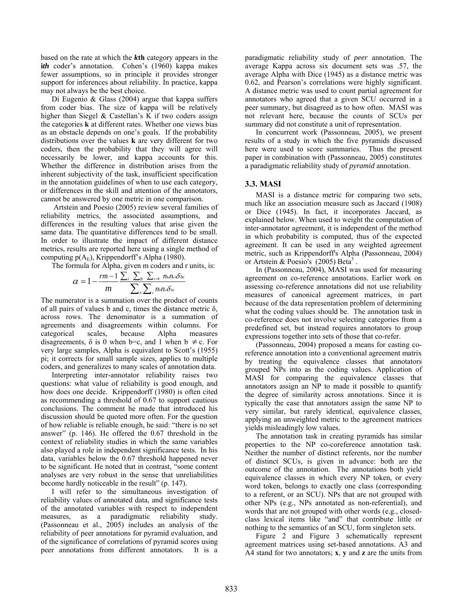based on the rate at which the *k***th** category appears in the *ith* coder's annotation. Cohen's (1960) kappa makes fewer assumptions, so in principle it provides stronger support for inferences about reliability. In practice, kappa may not always be the best choice.

Di Eugenio & Glass (2004) argue that kappa suffers from coder bias. The size of kappa will be relatively higher than Siegel & Castellan's K if two coders assign the categories **k** at different rates. Whether one views bias as an obstacle depends on one's goals. If the probability distributions over the values **k** are very different for two coders, then the probability that they will agree will necessarily be lower, and kappa accounts for this. Whether the difference in distribution arises from the inherent subjectivity of the task, insufficient specification in the annotation guidelines of when to use each category, or differences in the skill and attention of the annotators, cannot be answered by one metric in one comparison.

 Artstein and Poesio (2005) review several families of reliability metrics, the associated assumptions, and differences in the resulting values that arise given the same data. The quantitative differences tend to be small. In order to illustrate the impact of different distance metrics, results are reported here using a single method of computing  $p(A<sub>E</sub>)$ , Krippendorff's Alpha (1980).

The formula for Alpha, given m coders and r units, is:

$$
\alpha = 1 - \frac{rm - 1}{m} \frac{\sum_i \sum_b \sum_{c>b} n_{b} n_{c} \delta_{bc}}{\sum_b \sum_c n_{b} n_{c} \delta_{bc}}
$$

The numerator is a summation over the product of counts of all pairs of values b and c, times the distance metric δ, across rows. The denominator is a summation of agreements and disagreements within columns. For categorical scales, because Alpha measures disagreements,  $\delta$  is 0 when b=c, and 1 when b  $\neq$  c. For very large samples, Alpha is equivalent to Scott's (1955) pi; it corrects for small sample sizes, applies to multiple coders, and generalizes to many scales of annotation data.

Interpreting inter-annotator reliability raises two questions: what value of reliability is good enough, and how does one decide. Krippendorff (1980) is often cited as recommending a threshold of 0.67 to support cautious conclusions. The comment he made that introduced his discussion should be quoted more often. For the question of how reliable is reliable enough, he said: "there is no set answer" (p. 146). He offered the 0.67 threshold in the context of reliability studies in which the same variables also played a role in independent significance tests. In his data, variables below the 0.67 threshold happened never to be significant. He noted that in contrast, "some content analyses are very robust in the sense that unreliabilities become hardly noticeable in the result" (p. 147).

I will refer to the simultaneous investigation of reliability values of annotated data, and significance tests of the annotated variables with respect to independent measures, as a paradigmatic reliability study. (Passonneau et al., 2005) includes an analysis of the reliability of peer annotations for pyramid evaluation, and of the significance of correlations of pyramid scores using peer annotations from different annotators. It is a

paradigmatic reliability study of *peer* annotation. The average Kappa across six document sets was .57, the average Alpha with Dice (1945) as a distance metric was 0.62, and Pearson's correlations were highly significant. A distance metric was used to count partial agreement for annotators who agreed that a given SCU occurred in a peer summary, but disagreed as to how often. MASI was not relevant here, because the counts of SCUs per summary did not constitute a unit of representation.

In concurrent work (Passonneau, 2005), we present results of a study in which the five pyramids discussed here were used to score summaries. Thus the present paper in combination with (Passonneau, 2005) constitutes a paradigmatic reliability study of *pyramid* annotation.

# **3.3. MASI**

MASI is a distance metric for comparing two sets, much like an association measure such as Jaccard (1908) or Dice (1945). In fact, it incorporates Jaccard, as explained below. When used to weight the computation of inter-annotator agreement, it is independent of the method in which probability is computed, thus of the expected agreement. It can be used in any weighted agreement metric, such as Krippendorff's Alpha (Passonneau, 2004) or Artstein & Poesio's  $(2005)$  Beta<sup>3</sup>.

In (Passonneau, 2004), MASI was used for measuring agreement on co-reference annotations. Earlier work on assessing co-reference annotations did not use reliability measures of canonical agreement matrices, in part because of the data representation problem of determining what the coding values should be. The annotation task in co-reference does not involve selecting categories from a predefined set, but instead requires annotators to group expressions together into sets of those that co-refer.

(Passonneau, 2004) proposed a means for casting coreference annotation into a conventional agreement matrix by treating the equivalence classes that annotators grouped NPs into as the coding values. Application of MASI for comparing the equivalence classes that annotators assign an NP to made it possible to quantify the degree of similarity across annotations. Since it is typically the case that annotators assign the same NP to very similar, but rarely identical, equivalence classes, applying an unweighted metric to the agreement matrices yields misleadingly low values.

The annotation task in creating pyramids has similar properties to the NP co-coreference annotation task. Neither the number of distinct referents, nor the number of distinct SCUs, is given in advance: both are the outcome of the annotation. The annotations both yield equivalence classes in which every NP token, or every word token, belongs to exactly one class (corresponding to a referent, or an SCU). NPs that are not grouped with other NPs (e.g., NPs annotated as non-referential), and words that are not grouped with other words (e.g., closedclass lexical items like "and" that contribute little or nothing to the semantics of an SCU, form singleton sets.

[Figure 2](#page-3-0) and [Figure 3](#page-3-1) schematically represent agreement matrices using set-based annotations. A3 and A4 stand for two annotators; **x**, **y** and **z** are the units from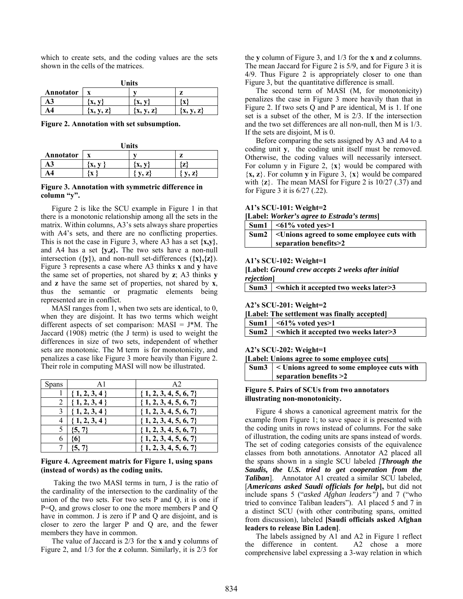which to create sets, and the coding values are the sets shown in the cells of the matrices.

| <b>Units</b> |            |            |             |  |
|--------------|------------|------------|-------------|--|
| Annotator    |            |            | z           |  |
| A3           | л.         |            |             |  |
| A4           | V, Z<br>л, | v, z<br>х, | V, Z<br>'X, |  |

<span id="page-3-0"></span>**Figure 2. Annotation with set subsumption.** 

| Units     |                   |              |                          |  |
|-----------|-------------------|--------------|--------------------------|--|
| Annotator |                   |              | Z                        |  |
| AЭ        | x.                |              | $\overline{\phantom{a}}$ |  |
| Α4        | $\mathbf{v}$<br>A | $\mathbf{z}$ | $\overline{ }$           |  |

#### <span id="page-3-1"></span>**Figure 3. Annotation with symmetric difference in column "y".**

[Figure 2](#page-3-0) is like the SCU example in [Figure 1](#page-1-0) in that there is a monotonic relationship among all the sets in the matrix. Within columns, A3's sets always share properties with A4's sets, and there are no conflicting properties. This is not the case in Figure 3, where A3 has a set **{x,y}**, and A4 has a set **{y,z}.** The two sets have a non-null intersection (**{y}**), and non-null set-differences (**{x},{z}**). [Figure 3](#page-3-1) represents a case where A3 thinks **x** and **y** have the same set of properties, not shared by **z**; A3 thinks **y** and **z** have the same set of properties, not shared by **x**, thus the semantic or pragmatic elements being represented are in conflict.

MASI ranges from 1, when two sets are identical, to 0, when they are disjoint. It has two terms which weight different aspects of set comparison:  $MASI = J*M$ . The Jaccard (1908) metric (the J term) is used to weight the differences in size of two sets, independent of whether sets are monotonic. The M term is for monotonicity, and penalizes a case like [Figure 3](#page-3-1) more heavily than [Figure 2.](#page-3-0) Their role in computing MASI will now be illustrated.

| <b>Spans</b> |                  | A <sub>2</sub>            |
|--------------|------------------|---------------------------|
|              | $\{1, 2, 3, 4\}$ | $\{1, 2, 3, 4, 5, 6, 7\}$ |
| 2            | ${1, 2, 3, 4}$   | $\{1, 2, 3, 4, 5, 6, 7\}$ |
| 3            | $\{1, 2, 3, 4\}$ | $\{1, 2, 3, 4, 5, 6, 7\}$ |
|              | ${1, 2, 3, 4}$   | $\{1, 2, 3, 4, 5, 6, 7\}$ |
| 5            | ${5, 7}$         | $\{1, 2, 3, 4, 5, 6, 7\}$ |
|              |                  | $\{1, 2, 3, 4, 5, 6, 7\}$ |
|              | ${5, 7}$         | $\{1, 2, 3, 4, 5, 6, 7\}$ |

### <span id="page-3-2"></span>**Figure 4. Agreement matrix for [Figure 1,](#page-1-0) using spans (instead of words) as the coding units.**

 Taking the two MASI terms in turn, J is the ratio of the cardinality of the intersection to the cardinality of the union of the two sets. For two sets P and Q, it is one if P=Q, and grows closer to one the more members P and Q have in common. J is zero if P and Q are disjoint, and is closer to zero the larger P and Q are, and the fewer members they have in common.

The value of Jaccard is 2/3 for the **x** and **y** columns of [Figure 2,](#page-3-0) and 1/3 for the **z** column. Similarly, it is 2/3 for the **y** column of [Figure 3,](#page-3-1) and 1/3 for the **x** and **z** columns. The mean Jaccard for Figure 2 is 5/9, and for [Figure 3](#page-3-1) it is 4/9. Thus Figure 2 is appropriately closer to one than [Figure 3,](#page-3-1) but the quantitative difference is small.

The second term of MASI (M, for monotonicity) penalizes the case in Figure 3 more heavily than that in [Figure 2.](#page-3-0) If two sets Q and P are identical, M is 1. If one set is a subset of the other, M is 2/3. If the intersection and the two set differences are all non-null, then M is 1/3. If the sets are disjoint, M is 0.

Before comparing the sets assigned by A3 and A4 to a coding unit **y**, the coding unit itself must be removed. Otherwise, the coding values will necessarily intersect. For column y in Figure 2,  $\{x\}$  would be compared with {**x, z**}. For column **y** in Figure 3, {**x**} would be compared with  $\{z\}$ . The mean MASI for [Figure 2](#page-3-0) is  $10/27$  (.37) and for Figure 3 it is 6/27 (.22).

**A1's SCU-101: Weight=2** 

| Sum1 $\mid$ <61% voted yes>1                             |
|----------------------------------------------------------|
| Sum2 <a> &lt;</a> < < sagreed to some employee cuts with |
| separation benefits>2                                    |

#### **A1's SCU-102: Weight=1**

**[Label:** *Ground crew accepts 2 weeks after initial rejection***]** 

| Sum3 <which accepted="" it="" later="" two="" weeks="">3</which> |
|------------------------------------------------------------------|
|                                                                  |

#### **A2's SCU-201: Weight=2**

| [Label: The settlement was finally accepted] |  |  |
|----------------------------------------------|--|--|
|----------------------------------------------|--|--|

| Sum1 $\mid$ <61% voted yes>1                                 |
|--------------------------------------------------------------|
| $\mathbf{Sum2}$ $\sim$ which it accepted two weeks later > 3 |

### **A2's SCU-202: Weight=1**

|  |  | [Label: Unions agree to some employee cuts] |  |
|--|--|---------------------------------------------|--|
|  |  |                                             |  |

| Sum $3$   < Unions agreed to some employee cuts with |
|------------------------------------------------------|
| separation benefits $>2$                             |

### <span id="page-3-3"></span>**Figure 5. Pairs of SCUs from two annotators illustrating non-monotonicity.**

[Figure 4](#page-3-2) shows a canonical agreement matrix for the example from Figure 1; to save space it is presented with the coding units in rows instead of columns. For the sake of illustration, the coding units are spans instead of words. The set of coding categories consists of the equivalence classes from both annotations. Annotator A2 placed all the spans shown in a single SCU labeled *[Through the Saudis, the U.S. tried to get cooperation from the Taliban*]. Annotator A1 created a similar SCU labeled, [*Americans asked Saudi officials for help***],** but did not include spans 5 ("*asked Afghan leaders")* and 7 ("who tried to convince Taliban leaders"). A1 placed 5 and 7 in a distinct SCU (with other contributing spans, omitted from discussion), labeled **[Saudi officials asked Afghan leaders to release Bin Laden]**.

The labels assigned by A1 and A2 in [Figure 1](#page-1-0) reflect the difference in content. A2 chose a more comprehensive label expressing a 3-way relation in which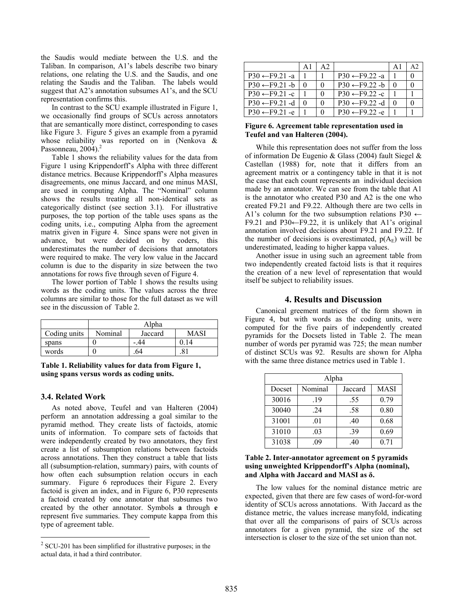the Saudis would mediate between the U.S. and the Taliban. In comparison, A1's labels describe two binary relations, one relating the U.S. and the Saudis, and one relating the Saudis and the Taliban. The labels would suggest that A2's annotation subsumes A1's, and the SCU representation confirms this.

In contrast to the SCU example illustrated in [Figure 1,](#page-1-0) we occasionally find groups of SCUs across annotators that are semantically more distinct, corresponding to cases like [Figure 3.](#page-3-1) [Figure 5](#page-3-3) gives an example from a pyramid whose reliability was reported on in (Nenkova & Passonneau, 2004).<sup>2</sup>

[Table 1](#page-4-0) shows the reliability values for the data from [Figure 1](#page-1-0) using Krippendorff's Alpha with three different distance metrics. Because Krippendorff's Alpha measures disagreements, one minus Jaccard, and one minus MASI, are used in computing Alpha. The "Nominal" column shows the results treating all non-identical sets as categorically distinct (see section 3.1). For illustrative purposes, the top portion of the table uses spans as the coding units, i.e., computing Alpha from the agreement matrix given in [Figure 4.](#page-3-2) Since spans were not given in advance, but were decided on by coders, this underestimates the number of decisions that annotators were required to make. The very low value in the Jaccard column is due to the disparity in size between the two annotations for rows five through seven of [Figure 4.](#page-3-2)

The lower portion of [Table 1](#page-4-0) shows the results using words as the coding units. The values across the three columns are similar to those for the full dataset as we will see in the discussion of [Table 2.](#page-4-1)

|              | Alpha   |         |      |  |
|--------------|---------|---------|------|--|
| Coding units | Nominal | Jaccard | MASI |  |
| spans        |         | .44     |      |  |
| words        |         |         | . 0  |  |

<span id="page-4-0"></span>**Table 1. Reliability values for data from [Figure 1,](#page-1-0) using spans versus words as coding units.** 

### **3.4. Related Work**

 $\overline{a}$ 

As noted above, Teufel and van Halteren (2004) perform an annotation addressing a goal similar to the pyramid method. They create lists of factoids, atomic units of information. To compare sets of factoids that were independently created by two annotators, they first create a list of subsumption relations between factoids across annotations. Then they construct a table that lists all (subsumption-relation, summary) pairs, with counts of how often each subsumption relation occurs in each summary. [Figure 6](#page-4-2) reproduces their Figure 2. Every factoid is given an index, and in [Figure 6,](#page-4-2) P30 represents a factoid created by one annotator that subsumes two created by the other annotator. Symbols **a** through **e** represent five summaries. They compute kappa from this type of agreement table.

|                            | A1 | A <sub>2</sub> |                            | $\mathsf{A}1$ | A2       |
|----------------------------|----|----------------|----------------------------|---------------|----------|
| $P30 \leftarrow F9.21$ -a  |    |                | $P30 \leftarrow F9.22$ -a  |               | 0        |
| $P30 \leftarrow F9.21 - b$ |    | 0              | $P30 \leftarrow F9.22 - h$ |               | 0        |
| $P30 \leftarrow F9.21 - c$ |    | $\Omega$       | $P30 \leftarrow F9.22 -c$  |               |          |
| $P30 \leftarrow F9.21 - d$ |    | $\Omega$       | $P30 \leftarrow F9.22$ -d  |               | $\Omega$ |
| $P30 \leftarrow F9.21 - e$ |    | $\Omega$       | $P30 \leftarrow F9.22 - e$ |               |          |

## <span id="page-4-2"></span>**Figure 6. Agreement table representation used in Teufel and van Halteren (2004).**

While this representation does not suffer from the loss of information De Eugenio & Glass (2004) fault Siegel & Castellan (1988) for, note that it differs from an agreement matrix or a contingency table in that it is not the case that each count represents an individual decision made by an annotator. We can see from the table that A1 is the annotator who created P30 and A2 is the one who created F9.21 and F9.22. Although there are two cells in A1's column for the two subsumption relations P30  $\leftarrow$ F9.21 and P30←F9.22, it is unlikely that A1's original annotation involved decisions about F9.21 and F9.22. If the number of decisions is overestimated,  $p(A<sub>E</sub>)$  will be underestimated, leading to higher kappa values.

Another issue in using such an agreement table from two independently created factoid lists is that it requires the creation of a new level of representation that would itself be subject to reliability issues.

## **4. Results and Discussion**

Canonical greement matrices of the form shown in [Figure 4,](#page-3-2) but with words as the coding units, were computed for the five pairs of independently created pyramids for the Docsets listed in [Table 2.](#page-4-1) The mean number of words per pyramid was 725; the mean number of distinct SCUs was 92. Results are shown for Alpha with the same three distance metrics used in [Table 1.](#page-4-0)

| Alpha  |         |         |             |  |  |  |
|--------|---------|---------|-------------|--|--|--|
| Docset | Nominal | Jaccard | <b>MASI</b> |  |  |  |
| 30016  | .19     | .55     | 0.79        |  |  |  |
| 30040  | 24      | .58     | 0.80        |  |  |  |
| 31001  | .01     | .40     | 0.68        |  |  |  |
| 31010  | .03     | .39     | 0.69        |  |  |  |
| 31038  | -09     | .40     | 0.71        |  |  |  |

# <span id="page-4-1"></span>**Table 2. Inter-annotator agreement on 5 pyramids using unweighted Krippendorff's Alpha (nominal), and Alpha with Jaccard and MASI as δ.**

The low values for the nominal distance metric are expected, given that there are few cases of word-for-word identity of SCUs across annotations. With Jaccard as the distance metric, the values increase manyfold, indicating that over all the comparisons of pairs of SCUs across annotators for a given pyramid, the size of the set intersection is closer to the size of the set union than not.

<span id="page-4-3"></span> $2^2$  SCU-201 has been simplified for illustrative purposes; in the actual data, it had a third contributor.